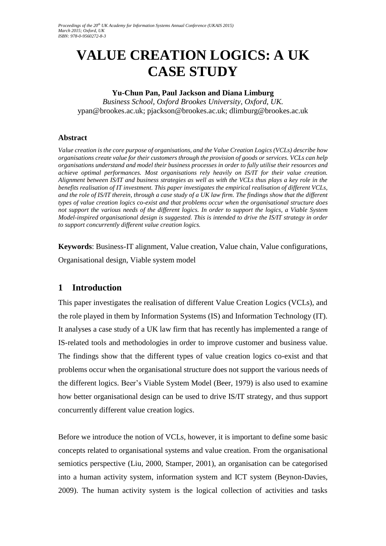# **VALUE CREATION LOGICS: A UK CASE STUDY**

### **Yu-Chun Pan, Paul Jackson and Diana Limburg**

*Business School, Oxford Brookes University, Oxford, UK.* ypan@brookes.ac.uk; pjackson@brookes.ac.uk; dlimburg@brookes.ac.uk

### **Abstract**

*Value creation is the core purpose of organisations, and the Value Creation Logics (VCLs) describe how organisations create value for their customers through the provision of goods or services. VCLs can help organisations understand and model their business processes in order to fully utilise their resources and achieve optimal performances. Most organisations rely heavily on IS/IT for their value creation. Alignment between IS/IT and business strategies as well as with the VCLs thus plays a key role in the benefits realisation of IT investment. This paper investigates the empirical realisation of different VCLs, and the role of IS/IT therein, through a case study of a UK law firm. The findings show that the different types of value creation logics co-exist and that problems occur when the organisational structure does not support the various needs of the different logics. In order to support the logics, a Viable System Model-inspired organisational design is suggested. This is intended to drive the IS/IT strategy in order to support concurrently different value creation logics.* 

**Keywords**: Business-IT alignment, Value creation, Value chain, Value configurations, Organisational design, Viable system model

## **1 Introduction**

This paper investigates the realisation of different Value Creation Logics (VCLs), and the role played in them by Information Systems (IS) and Information Technology (IT). It analyses a case study of a UK law firm that has recently has implemented a range of IS-related tools and methodologies in order to improve customer and business value. The findings show that the different types of value creation logics co-exist and that problems occur when the organisational structure does not support the various needs of the different logics. Beer's Viable System Model (Beer, 1979) is also used to examine how better organisational design can be used to drive IS/IT strategy, and thus support concurrently different value creation logics.

Before we introduce the notion of VCLs, however, it is important to define some basic concepts related to organisational systems and value creation. From the organisational semiotics perspective (Liu, 2000, Stamper, 2001), an organisation can be categorised into a human activity system, information system and ICT system (Beynon-Davies, 2009). The human activity system is the logical collection of activities and tasks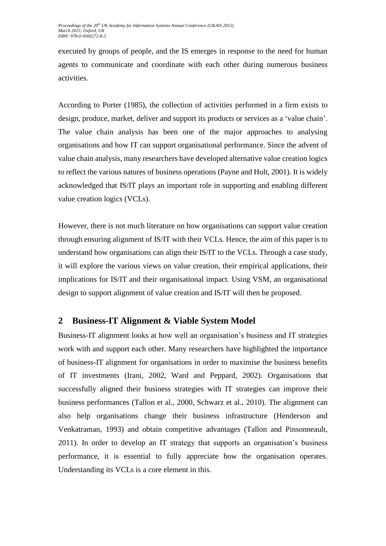executed by groups of people, and the IS emerges in response to the need for human agents to communicate and coordinate with each other during numerous business activities.

According to Porter (1985), the collection of activities performed in a firm exists to design, produce, market, deliver and support its products or services as a 'value chain'. The value chain analysis has been one of the major approaches to analysing organisations and how IT can support organisational performance. Since the advent of value chain analysis, many researchers have developed alternative value creation logics to reflect the various natures of business operations (Payne and Holt, 2001). It is widely acknowledged that IS/IT plays an important role in supporting and enabling different value creation logics (VCLs).

However, there is not much literature on how organisations can support value creation through ensuring alignment of IS/IT with their VCLs. Hence, the aim of this paper is to understand how organisations can align their IS/IT to the VCLs. Through a case study, it will explore the various views on value creation, their empirical applications, their implications for IS/IT and their organisational impact. Using VSM, an organisational design to support alignment of value creation and IS/IT will then be proposed.

# **2 Business-IT Alignment & Viable System Model**

Business-IT alignment looks at how well an organisation's business and IT strategies work with and support each other. Many researchers have highlighted the importance of business-IT alignment for organisations in order to maximise the business benefits of IT investments (Irani, 2002, Ward and Peppard, 2002). Organisations that successfully aligned their business strategies with IT strategies can improve their business performances (Tallon et al., 2000, Schwarz et al., 2010). The alignment can also help organisations change their business infrastructure (Henderson and Venkatraman, 1993) and obtain competitive advantages (Tallon and Pinsonneault, 2011). In order to develop an IT strategy that supports an organisation's business performance, it is essential to fully appreciate how the organisation operates. Understanding its VCLs is a core element in this.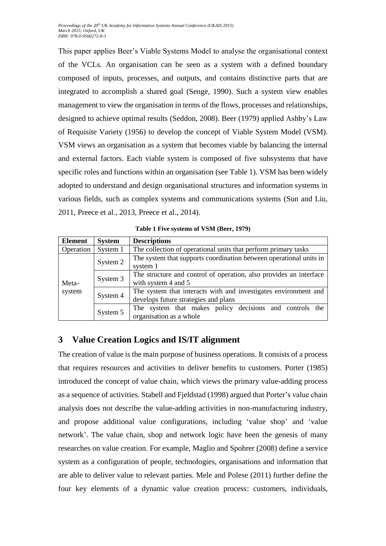This paper applies Beer's Viable Systems Model to analyse the organisational context of the VCLs. An organisation can be seen as a system with a defined boundary composed of inputs, processes, and outputs, and contains distinctive parts that are integrated to accomplish a shared goal (Senge, 1990). Such a system view enables management to view the organisation in terms of the flows, processes and relationships, designed to achieve optimal results (Seddon, 2008). Beer (1979) applied Ashby's Law of Requisite Variety (1956) to develop the concept of Viable System Model (VSM). VSM views an organisation as a system that becomes viable by balancing the internal and external factors. Each viable system is composed of five subsystems that have specific roles and functions within an organisation (see [Table 1\)](#page-2-0). VSM has been widely adopted to understand and design organisational structures and information systems in various fields, such as complex systems and communications systems (Sun and Liu, 2011, Preece et al., 2013, Preece et al., 2014).

<span id="page-2-0"></span>

| <b>Element</b>  | <b>System</b> | <b>Descriptions</b>                                                                                     |  |  |
|-----------------|---------------|---------------------------------------------------------------------------------------------------------|--|--|
| Operation       | System 1      | The collection of operational units that perform primary tasks                                          |  |  |
|                 | System 2      | The system that supports coordination between operational units in<br>system 1                          |  |  |
| Meta-<br>system | System 3      | The structure and control of operation, also provides an interface<br>with system 4 and 5               |  |  |
|                 | System 4      | The system that interacts with and investigates environment and<br>develops future strategies and plans |  |  |
|                 | System 5      | The system that makes policy decisions and controls the<br>organisation as a whole                      |  |  |

**Table 1 Five systems of VSM (Beer, 1979)**

## **3 Value Creation Logics and IS/IT alignment**

The creation of value is the main purpose of business operations. It consists of a process that requires resources and activities to deliver benefits to customers. Porter (1985) introduced the concept of value chain, which views the primary value-adding process as a sequence of activities. Stabell and Fjeldstad (1998) argued that Porter's value chain analysis does not describe the value-adding activities in non-manufacturing industry, and propose additional value configurations, including 'value shop' and 'value network'. The value chain, shop and network logic have been the genesis of many researches on value creation. For example, Maglio and Spohrer (2008) define a service system as a configuration of people, technologies, organisations and information that are able to deliver value to relevant parties. Mele and Polese (2011) further define the four key elements of a dynamic value creation process: customers, individuals,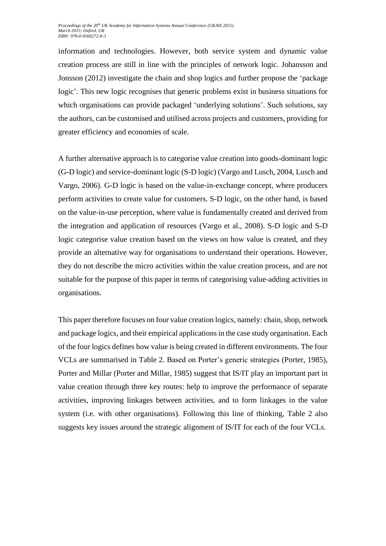information and technologies. However, both service system and dynamic value creation process are still in line with the principles of network logic. Johansson and Jonsson (2012) investigate the chain and shop logics and further propose the 'package logic'. This new logic recognises that generic problems exist in business situations for which organisations can provide packaged 'underlying solutions'. Such solutions, say the authors, can be customised and utilised across projects and customers, providing for greater efficiency and economies of scale.

A further alternative approach is to categorise value creation into goods-dominant logic (G-D logic) and service-dominant logic (S-D logic) (Vargo and Lusch, 2004, Lusch and Vargo, 2006). G-D logic is based on the value-in-exchange concept, where producers perform activities to create value for customers. S-D logic, on the other hand, is based on the value-in-use perception, where value is fundamentally created and derived from the integration and application of resources (Vargo et al., 2008). S-D logic and S-D logic categorise value creation based on the views on how value is created, and they provide an alternative way for organisations to understand their operations. However, they do not describe the micro activities within the value creation process, and are not suitable for the purpose of this paper in terms of categorising value-adding activities in organisations.

This paper therefore focuses on four value creation logics, namely: chain, shop, network and package logics, and their empirical applications in the case study organisation. Each of the four logics defines how value is being created in different environments. The four VCLs are summarised in Table 2. Based on Porter's generic strategies (Porter, 1985), Porter and Millar (Porter and Millar, 1985) suggest that IS/IT play an important part in value creation through three key routes: help to improve the performance of separate activities, improving linkages between activities, and to form linkages in the value system (i.e. with other organisations). Following this line of thinking, Table 2 also suggests key issues around the strategic alignment of IS/IT for each of the four VCLs.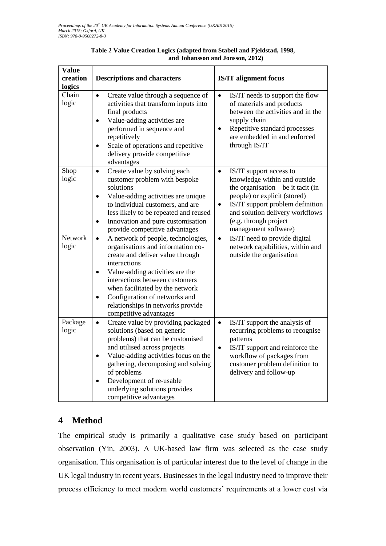| <b>Value</b><br>creation<br>logics | <b>Descriptions and characters</b>                                                                                                                                                                                                                                                                                                                                         | <b>IS/IT alignment focus</b>                                                                                                                                                                                                                                                      |
|------------------------------------|----------------------------------------------------------------------------------------------------------------------------------------------------------------------------------------------------------------------------------------------------------------------------------------------------------------------------------------------------------------------------|-----------------------------------------------------------------------------------------------------------------------------------------------------------------------------------------------------------------------------------------------------------------------------------|
| Chain<br>logic                     | Create value through a sequence of<br>$\bullet$<br>activities that transform inputs into<br>final products<br>Value-adding activities are<br>$\bullet$<br>performed in sequence and<br>repetitively<br>Scale of operations and repetitive<br>$\bullet$<br>delivery provide competitive<br>advantages                                                                       | IS/IT needs to support the flow<br>$\bullet$<br>of materials and products<br>between the activities and in the<br>supply chain<br>Repetitive standard processes<br>$\bullet$<br>are embedded in and enforced<br>through IS/IT                                                     |
| Shop<br>logic                      | Create value by solving each<br>$\bullet$<br>customer problem with bespoke<br>solutions<br>Value-adding activities are unique<br>$\bullet$<br>to individual customers, and are<br>less likely to be repeated and reused<br>Innovation and pure customisation<br>$\bullet$<br>provide competitive advantages                                                                | IS/IT support access to<br>$\bullet$<br>knowledge within and outside<br>the organisation $-$ be it tacit (in<br>people) or explicit (stored)<br>IS/IT support problem definition<br>$\bullet$<br>and solution delivery workflows<br>(e.g. through project<br>management software) |
| Network<br>logic                   | A network of people, technologies,<br>$\bullet$<br>organisations and information co-<br>create and deliver value through<br>interactions<br>Value-adding activities are the<br>$\bullet$<br>interactions between customers<br>when facilitated by the network<br>Configuration of networks and<br>$\bullet$<br>relationships in networks provide<br>competitive advantages | IS/IT need to provide digital<br>$\bullet$<br>network capabilities, within and<br>outside the organisation                                                                                                                                                                        |
| Package<br>logic                   | Create value by providing packaged<br>$\bullet$<br>solutions (based on generic<br>problems) that can be customised<br>and utilised across projects<br>Value-adding activities focus on the<br>$\bullet$<br>gathering, decomposing and solving<br>of problems<br>Development of re-usable<br>$\bullet$<br>underlying solutions provides<br>competitive advantages           | IS/IT support the analysis of<br>$\bullet$<br>recurring problems to recognise<br>patterns<br>IS/IT support and reinforce the<br>$\bullet$<br>workflow of packages from<br>customer problem definition to<br>delivery and follow-up                                                |

### **Table 2 Value Creation Logics (adapted from Stabell and Fjeldstad, 1998, and Johansson and Jonsson, 2012)**

# **4 Method**

The empirical study is primarily a qualitative case study based on participant observation (Yin, 2003). A UK-based law firm was selected as the case study organisation. This organisation is of particular interest due to the level of change in the UK legal industry in recent years. Businesses in the legal industry need to improve their process efficiency to meet modern world customers' requirements at a lower cost via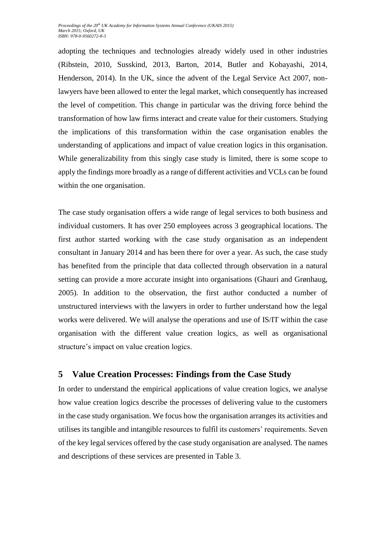adopting the techniques and technologies already widely used in other industries (Ribstein, 2010, Susskind, 2013, Barton, 2014, Butler and Kobayashi, 2014, Henderson, 2014). In the UK, since the advent of the Legal Service Act 2007, nonlawyers have been allowed to enter the legal market, which consequently has increased the level of competition. This change in particular was the driving force behind the transformation of how law firms interact and create value for their customers. Studying the implications of this transformation within the case organisation enables the understanding of applications and impact of value creation logics in this organisation. While generalizability from this singly case study is limited, there is some scope to apply the findings more broadly as a range of different activities and VCLs can be found within the one organisation.

The case study organisation offers a wide range of legal services to both business and individual customers. It has over 250 employees across 3 geographical locations. The first author started working with the case study organisation as an independent consultant in January 2014 and has been there for over a year. As such, the case study has benefited from the principle that data collected through observation in a natural setting can provide a more accurate insight into organisations (Ghauri and Grønhaug, 2005). In addition to the observation, the first author conducted a number of unstructured interviews with the lawyers in order to further understand how the legal works were delivered. We will analyse the operations and use of IS/IT within the case organisation with the different value creation logics, as well as organisational structure's impact on value creation logics.

# **5 Value Creation Processes: Findings from the Case Study**

In order to understand the empirical applications of value creation logics, we analyse how value creation logics describe the processes of delivering value to the customers in the case study organisation. We focus how the organisation arranges its activities and utilises its tangible and intangible resources to fulfil its customers' requirements. Seven of the key legal services offered by the case study organisation are analysed. The names and descriptions of these services are presented in Table 3.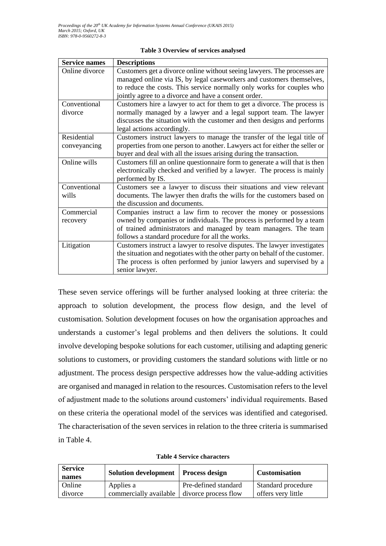| <b>Service names</b> | <b>Descriptions</b>                                                          |
|----------------------|------------------------------------------------------------------------------|
| Online divorce       | Customers get a divorce online without seeing lawyers. The processes are     |
|                      | managed online via IS, by legal caseworkers and customers themselves,        |
|                      | to reduce the costs. This service normally only works for couples who        |
|                      | jointly agree to a divorce and have a consent order.                         |
| Conventional         | Customers hire a lawyer to act for them to get a divorce. The process is     |
| divorce              | normally managed by a lawyer and a legal support team. The lawyer            |
|                      | discusses the situation with the customer and then designs and performs      |
|                      | legal actions accordingly.                                                   |
| Residential          | Customers instruct lawyers to manage the transfer of the legal title of      |
| conveyancing         | properties from one person to another. Lawyers act for either the seller or  |
|                      | buyer and deal with all the issues arising during the transaction.           |
| Online wills         | Customers fill an online questionnaire form to generate a will that is then  |
|                      | electronically checked and verified by a lawyer. The process is mainly       |
|                      | performed by IS.                                                             |
| Conventional         | Customers see a lawyer to discuss their situations and view relevant         |
| wills                | documents. The lawyer then drafts the wills for the customers based on       |
|                      | the discussion and documents.                                                |
| Commercial           | Companies instruct a law firm to recover the money or possessions            |
| recovery             | owned by companies or individuals. The process is performed by a team        |
|                      | of trained administrators and managed by team managers. The team             |
|                      | follows a standard procedure for all the works.                              |
| Litigation           | Customers instruct a lawyer to resolve disputes. The lawyer investigates     |
|                      | the situation and negotiates with the other party on behalf of the customer. |
|                      | The process is often performed by junior lawyers and supervised by a         |
|                      | senior lawyer.                                                               |

#### **Table 3 Overview of services analysed**

These seven service offerings will be further analysed looking at three criteria: the approach to solution development, the process flow design, and the level of customisation. Solution development focuses on how the organisation approaches and understands a customer's legal problems and then delivers the solutions. It could involve developing bespoke solutions for each customer, utilising and adapting generic solutions to customers, or providing customers the standard solutions with little or no adjustment. The process design perspective addresses how the value-adding activities are organised and managed in relation to the resources. Customisation refers to the level of adjustment made to the solutions around customers' individual requirements. Based on these criteria the operational model of the services was identified and categorised. The characterisation of the seven services in relation to the three criteria is summarised in Table 4.

| <b>Service</b><br>names | Solution development   Process design       |                      | <b>Customisation</b> |
|-------------------------|---------------------------------------------|----------------------|----------------------|
| Online                  | Applies a                                   | Pre-defined standard | Standard procedure   |
| divorce                 | commercially available divorce process flow |                      | offers very little   |

**Table 4 Service characters**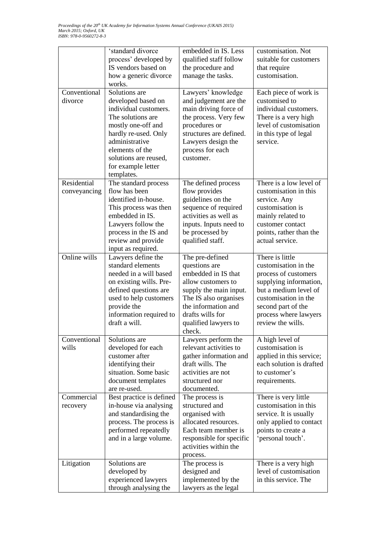|                             | 'standard divorce<br>process' developed by<br>IS vendors based on<br>how a generic divorce<br>works.                                                                                                                               | embedded in IS. Less<br>qualified staff follow<br>the procedure and<br>manage the tasks.                                                                                                                      | customisation. Not<br>suitable for customers<br>that require<br>customisation.                                                                                                                                 |
|-----------------------------|------------------------------------------------------------------------------------------------------------------------------------------------------------------------------------------------------------------------------------|---------------------------------------------------------------------------------------------------------------------------------------------------------------------------------------------------------------|----------------------------------------------------------------------------------------------------------------------------------------------------------------------------------------------------------------|
| Conventional<br>divorce     | Solutions are<br>developed based on<br>individual customers.<br>The solutions are.<br>mostly one-off and<br>hardly re-used. Only<br>administrative<br>elements of the<br>solutions are reused,<br>for example letter<br>templates. | Lawyers' knowledge<br>and judgement are the<br>main driving force of<br>the process. Very few<br>procedures or<br>structures are defined.<br>Lawyers design the<br>process for each<br>customer.              | Each piece of work is<br>customised to<br>individual customers.<br>There is a very high<br>level of customisation<br>in this type of legal<br>service.                                                         |
| Residential<br>conveyancing | The standard process<br>flow has been<br>identified in-house.<br>This process was then<br>embedded in IS.<br>Lawyers follow the<br>process in the IS and<br>review and provide<br>input as required.                               | The defined process<br>flow provides<br>guidelines on the<br>sequence of required<br>activities as well as<br>inputs. Inputs need to<br>be processed by<br>qualified staff.                                   | There is a low level of<br>customisation in this<br>service. Any<br>customisation is<br>mainly related to<br>customer contact<br>points, rather than the<br>actual service.                                    |
| Online wills                | Lawyers define the<br>standard elements<br>needed in a will based<br>on existing wills. Pre-<br>defined questions are<br>used to help customers<br>provide the<br>information required to<br>draft a will.                         | The pre-defined<br>questions are<br>embedded in IS that<br>allow customers to<br>supply the main input.<br>The IS also organises<br>the information and<br>drafts wills for<br>qualified lawyers to<br>check. | There is little<br>customisation in the<br>process of customers<br>supplying information,<br>but a medium level of<br>customisation in the<br>second part of the<br>process where lawyers<br>review the wills. |
| Conventional<br>wills       | Solutions are<br>developed for each<br>customer after<br>identifying their<br>situation. Some basic<br>document templates<br>are re-used.                                                                                          | Lawyers perform the<br>relevant activities to<br>gather information and<br>draft wills. The<br>activities are not<br>structured nor<br>documented.                                                            | A high level of<br>customisation is<br>applied in this service;<br>each solution is drafted<br>to customer's<br>requirements.                                                                                  |
| Commercial<br>recovery      | Best practice is defined<br>in-house via analysing<br>and standardising the<br>process. The process is<br>performed repeatedly<br>and in a large volume.                                                                           | The process is<br>structured and<br>organised with<br>allocated resources.<br>Each team member is<br>responsible for specific<br>activities within the<br>process.                                            | There is very little<br>customisation in this<br>service. It is usually<br>only applied to contact<br>points to create a<br>'personal touch'.                                                                  |
| Litigation                  | Solutions are<br>developed by<br>experienced lawyers<br>through analysing the                                                                                                                                                      | The process is<br>designed and<br>implemented by the<br>lawyers as the legal                                                                                                                                  | There is a very high<br>level of customisation<br>in this service. The                                                                                                                                         |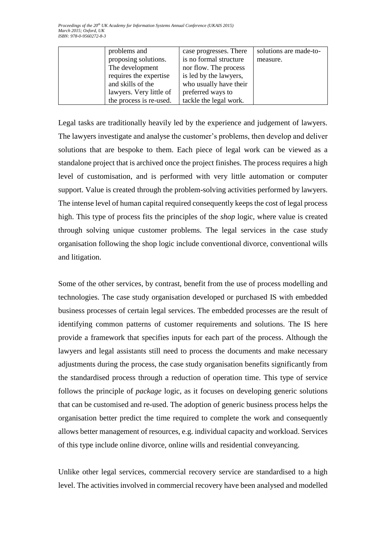| problems and            | case progresses. There | solutions are made-to- |
|-------------------------|------------------------|------------------------|
| proposing solutions.    | is no formal structure | measure.               |
| The development         | nor flow. The process  |                        |
| requires the expertise  | is led by the lawyers, |                        |
| and skills of the       | who usually have their |                        |
| lawyers. Very little of | preferred ways to      |                        |
| the process is re-used. | tackle the legal work. |                        |

Legal tasks are traditionally heavily led by the experience and judgement of lawyers. The lawyers investigate and analyse the customer's problems, then develop and deliver solutions that are bespoke to them. Each piece of legal work can be viewed as a standalone project that is archived once the project finishes. The process requires a high level of customisation, and is performed with very little automation or computer support. Value is created through the problem-solving activities performed by lawyers. The intense level of human capital required consequently keeps the cost of legal process high. This type of process fits the principles of the *shop* logic, where value is created through solving unique customer problems. The legal services in the case study organisation following the shop logic include conventional divorce, conventional wills and litigation.

Some of the other services, by contrast, benefit from the use of process modelling and technologies. The case study organisation developed or purchased IS with embedded business processes of certain legal services. The embedded processes are the result of identifying common patterns of customer requirements and solutions. The IS here provide a framework that specifies inputs for each part of the process. Although the lawyers and legal assistants still need to process the documents and make necessary adjustments during the process, the case study organisation benefits significantly from the standardised process through a reduction of operation time. This type of service follows the principle of *package* logic, as it focuses on developing generic solutions that can be customised and re-used. The adoption of generic business process helps the organisation better predict the time required to complete the work and consequently allows better management of resources, e.g. individual capacity and workload. Services of this type include online divorce, online wills and residential conveyancing.

Unlike other legal services, commercial recovery service are standardised to a high level. The activities involved in commercial recovery have been analysed and modelled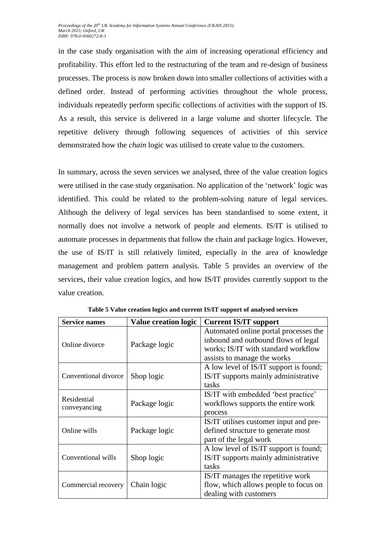in the case study organisation with the aim of increasing operational efficiency and profitability. This effort led to the restructuring of the team and re-design of business processes. The process is now broken down into smaller collections of activities with a defined order. Instead of performing activities throughout the whole process, individuals repeatedly perform specific collections of activities with the support of IS. As a result, this service is delivered in a large volume and shorter lifecycle. The repetitive delivery through following sequences of activities of this service demonstrated how the *chain* logic was utilised to create value to the customers.

In summary, across the seven services we analysed, three of the value creation logics were utilised in the case study organisation. No application of the 'network' logic was identified. This could be related to the problem-solving nature of legal services. Although the delivery of legal services has been standardised to some extent, it normally does not involve a network of people and elements. IS/IT is utilised to automate processes in departments that follow the chain and package logics. However, the use of IS/IT is still relatively limited, especially in the area of knowledge management and problem pattern analysis. [Table 5](#page-9-0) provides an overview of the services, their value creation logics, and how IS/IT provides currently support to the value creation.

<span id="page-9-0"></span>

| <b>Service names</b><br><b>Value creation logic</b> |               | <b>Current IS/IT support</b>                                                                                                                       |
|-----------------------------------------------------|---------------|----------------------------------------------------------------------------------------------------------------------------------------------------|
| Online divorce                                      | Package logic | Automated online portal processes the<br>inbound and outbound flows of legal<br>works; IS/IT with standard workflow<br>assists to manage the works |
| Conventional divorce                                | Shop logic    | A low level of IS/IT support is found;<br>IS/IT supports mainly administrative<br>tasks                                                            |
| Residential<br>conveyancing                         | Package logic | IS/IT with embedded 'best practice'<br>workflows supports the entire work<br>process                                                               |
| Online wills                                        | Package logic | IS/IT utilises customer input and pre-<br>defined structure to generate most<br>part of the legal work                                             |
| Conventional wills                                  | Shop logic    | A low level of IS/IT support is found;<br>IS/IT supports mainly administrative<br>tasks                                                            |
| Commercial recovery                                 | Chain logic   | IS/IT manages the repetitive work<br>flow, which allows people to focus on<br>dealing with customers                                               |

**Table 5 Value creation logics and current IS/IT support of analysed services**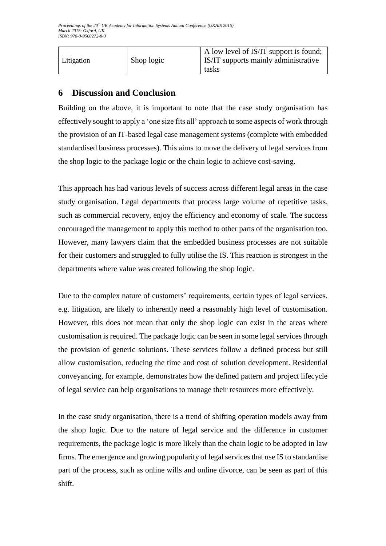| $\Delta$ low level of IS/IT support is found;<br>  Litigation<br>Shop logic<br><b>IS/IT</b> supports mainly administrative<br>tasks |  |
|-------------------------------------------------------------------------------------------------------------------------------------|--|
|-------------------------------------------------------------------------------------------------------------------------------------|--|

# **6 Discussion and Conclusion**

Building on the above, it is important to note that the case study organisation has effectively sought to apply a 'one size fits all' approach to some aspects of work through the provision of an IT-based legal case management systems (complete with embedded standardised business processes). This aims to move the delivery of legal services from the shop logic to the package logic or the chain logic to achieve cost-saving.

This approach has had various levels of success across different legal areas in the case study organisation. Legal departments that process large volume of repetitive tasks, such as commercial recovery, enjoy the efficiency and economy of scale. The success encouraged the management to apply this method to other parts of the organisation too. However, many lawyers claim that the embedded business processes are not suitable for their customers and struggled to fully utilise the IS. This reaction is strongest in the departments where value was created following the shop logic.

Due to the complex nature of customers' requirements, certain types of legal services, e.g. litigation, are likely to inherently need a reasonably high level of customisation. However, this does not mean that only the shop logic can exist in the areas where customisation is required. The package logic can be seen in some legal services through the provision of generic solutions. These services follow a defined process but still allow customisation, reducing the time and cost of solution development. Residential conveyancing, for example, demonstrates how the defined pattern and project lifecycle of legal service can help organisations to manage their resources more effectively.

In the case study organisation, there is a trend of shifting operation models away from the shop logic. Due to the nature of legal service and the difference in customer requirements, the package logic is more likely than the chain logic to be adopted in law firms. The emergence and growing popularity of legal services that use IS to standardise part of the process, such as online wills and online divorce, can be seen as part of this shift.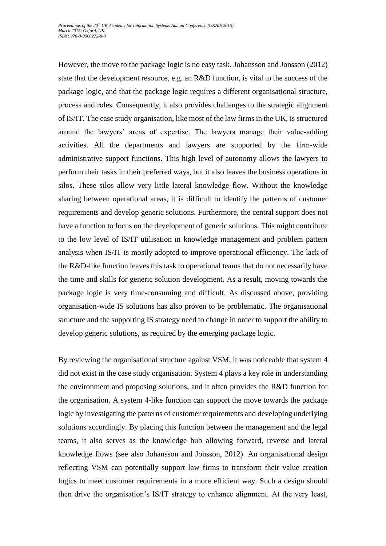However, the move to the package logic is no easy task. Johansson and Jonsson (2012) state that the development resource, e.g. an R&D function, is vital to the success of the package logic, and that the package logic requires a different organisational structure, process and roles. Consequently, it also provides challenges to the strategic alignment of IS/IT. The case study organisation, like most of the law firms in the UK, is structured around the lawyers' areas of expertise. The lawyers manage their value-adding activities. All the departments and lawyers are supported by the firm-wide administrative support functions. This high level of autonomy allows the lawyers to perform their tasks in their preferred ways, but it also leaves the business operations in silos. These silos allow very little lateral knowledge flow. Without the knowledge sharing between operational areas, it is difficult to identify the patterns of customer requirements and develop generic solutions. Furthermore, the central support does not have a function to focus on the development of generic solutions. This might contribute to the low level of IS/IT utilisation in knowledge management and problem pattern analysis when IS/IT is mostly adopted to improve operational efficiency. The lack of the R&D-like function leaves this task to operational teams that do not necessarily have the time and skills for generic solution development. As a result, moving towards the package logic is very time-consuming and difficult. As discussed above, providing organisation-wide IS solutions has also proven to be problematic. The organisational structure and the supporting IS strategy need to change in order to support the ability to develop generic solutions, as required by the emerging package logic.

By reviewing the organisational structure against VSM, it was noticeable that system 4 did not exist in the case study organisation. System 4 plays a key role in understanding the environment and proposing solutions, and it often provides the R&D function for the organisation. A system 4-like function can support the move towards the package logic by investigating the patterns of customer requirements and developing underlying solutions accordingly. By placing this function between the management and the legal teams, it also serves as the knowledge hub allowing forward, reverse and lateral knowledge flows (see also Johansson and Jonsson, 2012). An organisational design reflecting VSM can potentially support law firms to transform their value creation logics to meet customer requirements in a more efficient way. Such a design should then drive the organisation's IS/IT strategy to enhance alignment. At the very least,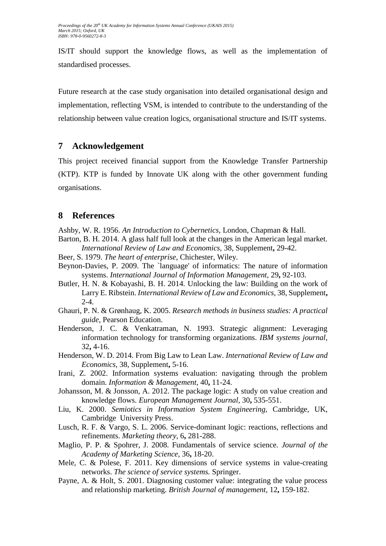IS/IT should support the knowledge flows, as well as the implementation of standardised processes.

Future research at the case study organisation into detailed organisational design and implementation, reflecting VSM, is intended to contribute to the understanding of the relationship between value creation logics, organisational structure and IS/IT systems.

# **7 Acknowledgement**

This project received financial support from the Knowledge Transfer Partnership (KTP). KTP is funded by Innovate UK along with the other government funding organisations.

# **8 References**

Ashby, W. R. 1956. *An Introduction to Cybernetics,* London, Chapman & Hall.

- Barton, B. H. 2014. A glass half full look at the changes in the American legal market. *International Review of Law and Economics,* 38, Supplement**,** 29-42.
- Beer, S. 1979. *The heart of enterprise,* Chichester, Wiley.
- Beynon-Davies, P. 2009. The `language' of informatics: The nature of information systems. *International Journal of Information Management,* 29**,** 92-103.
- Butler, H. N. & Kobayashi, B. H. 2014. Unlocking the law: Building on the work of Larry E. Ribstein. *International Review of Law and Economics,* 38, Supplement**,** 2-4.
- Ghauri, P. N. & Grønhaug, K. 2005. *Research methods in business studies: A practical guide*, Pearson Education.
- Henderson, J. C. & Venkatraman, N. 1993. Strategic alignment: Leveraging information technology for transforming organizations. *IBM systems journal,* 32**,** 4-16.
- Henderson, W. D. 2014. From Big Law to Lean Law. *International Review of Law and Economics,* 38, Supplement**,** 5-16.
- Irani, Z. 2002. Information systems evaluation: navigating through the problem domain. *Information & Management,* 40**,** 11-24.
- Johansson, M. & Jonsson, A. 2012. The package logic: A study on value creation and knowledge flows. *European Management Journal,* 30**,** 535-551.
- Liu, K. 2000. *Semiotics in Information System Engineering,* Cambridge, UK, Cambridge University Press.
- Lusch, R. F. & Vargo, S. L. 2006. Service-dominant logic: reactions, reflections and refinements. *Marketing theory,* 6**,** 281-288.
- Maglio, P. P. & Spohrer, J. 2008. Fundamentals of service science. *Journal of the Academy of Marketing Science,* 36**,** 18-20.
- Mele, C. & Polese, F. 2011. Key dimensions of service systems in value-creating networks. *The science of service systems.* Springer.
- Payne, A. & Holt, S. 2001. Diagnosing customer value: integrating the value process and relationship marketing. *British Journal of management,* 12**,** 159-182.